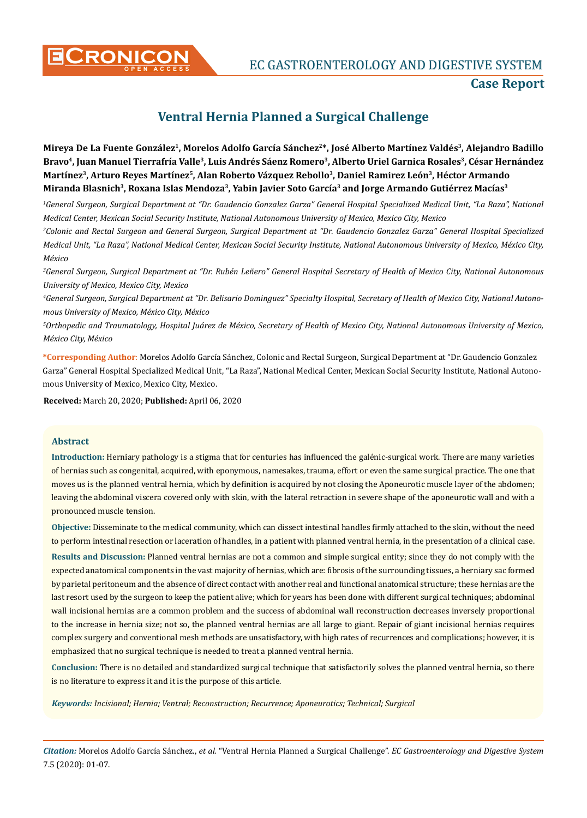

**CONICON** EC GASTROENTEROLOGY AND DIGESTIVE SYSTEM

## **Case Report**

# **Ventral Hernia Planned a Surgical Challenge**

**Mireya De La Fuente González1, Morelos Adolfo García Sánchez2\*, José Alberto Martínez Valdés3, Alejandro Badillo**  Bravo<sup>4</sup>, Juan Manuel Tierrafría Valle<sup>3</sup>, Luis Andrés Sáenz Romero<sup>3</sup>, Alberto Uriel Garnica Rosales<sup>3</sup>, César Hernández **Martínez3, Arturo Reyes Martínez5, Alan Roberto Vázquez Rebollo3, Daniel Ramirez León3, Héctor Armando Miranda Blasnich3, Roxana Islas Mendoza3, Yabin Javier Soto García3 and Jorge Armando Gutiérrez Macías3**

*1 General Surgeon, Surgical Department at "Dr. Gaudencio Gonzalez Garza" General Hospital Specialized Medical Unit, "La Raza", National Medical Center, Mexican Social Security Institute, National Autonomous University of Mexico, Mexico City, Mexico*

*2 Colonic and Rectal Surgeon and General Surgeon, Surgical Department at "Dr. Gaudencio Gonzalez Garza" General Hospital Specialized Medical Unit, "La Raza", National Medical Center, Mexican Social Security Institute, National Autonomous University of Mexico, México City, México*

*3 General Surgeon, Surgical Department at "Dr. Rubén Leñero" General Hospital Secretary of Health of Mexico City, National Autonomous University of Mexico, Mexico City, Mexico*

*4 General Surgeon, Surgical Department at "Dr. Belisario Dominguez" Specialty Hospital, Secretary of Health of Mexico City, National Autonomous University of Mexico, México City, México*

*5 Orthopedic and Traumatology, Hospital Juárez de México, Secretary of Health of Mexico City, National Autonomous University of Mexico, México City, México*

**\*Corresponding Author**: Morelos Adolfo García Sánchez, Colonic and Rectal Surgeon, Surgical Department at "Dr. Gaudencio Gonzalez Garza" General Hospital Specialized Medical Unit, "La Raza", National Medical Center, Mexican Social Security Institute, National Autonomous University of Mexico, Mexico City, Mexico.

**Received:** March 20, 2020; **Published:** April 06, 2020

#### **Abstract**

**Introduction:** Herniary pathology is a stigma that for centuries has influenced the galénic-surgical work. There are many varieties of hernias such as congenital, acquired, with eponymous, namesakes, trauma, effort or even the same surgical practice. The one that moves us is the planned ventral hernia, which by definition is acquired by not closing the Aponeurotic muscle layer of the abdomen; leaving the abdominal viscera covered only with skin, with the lateral retraction in severe shape of the aponeurotic wall and with a pronounced muscle tension.

**Objective:** Disseminate to the medical community, which can dissect intestinal handles firmly attached to the skin, without the need to perform intestinal resection or laceration of handles, in a patient with planned ventral hernia, in the presentation of a clinical case.

**Results and Discussion:** Planned ventral hernias are not a common and simple surgical entity; since they do not comply with the expected anatomical components in the vast majority of hernias, which are: fibrosis of the surrounding tissues, a herniary sac formed by parietal peritoneum and the absence of direct contact with another real and functional anatomical structure; these hernias are the last resort used by the surgeon to keep the patient alive; which for years has been done with different surgical techniques; abdominal wall incisional hernias are a common problem and the success of abdominal wall reconstruction decreases inversely proportional to the increase in hernia size; not so, the planned ventral hernias are all large to giant. Repair of giant incisional hernias requires complex surgery and conventional mesh methods are unsatisfactory, with high rates of recurrences and complications; however, it is emphasized that no surgical technique is needed to treat a planned ventral hernia.

**Conclusion:** There is no detailed and standardized surgical technique that satisfactorily solves the planned ventral hernia, so there is no literature to express it and it is the purpose of this article.

*Keywords: Incisional; Hernia; Ventral; Reconstruction; Recurrence; Aponeurotics; Technical; Surgical*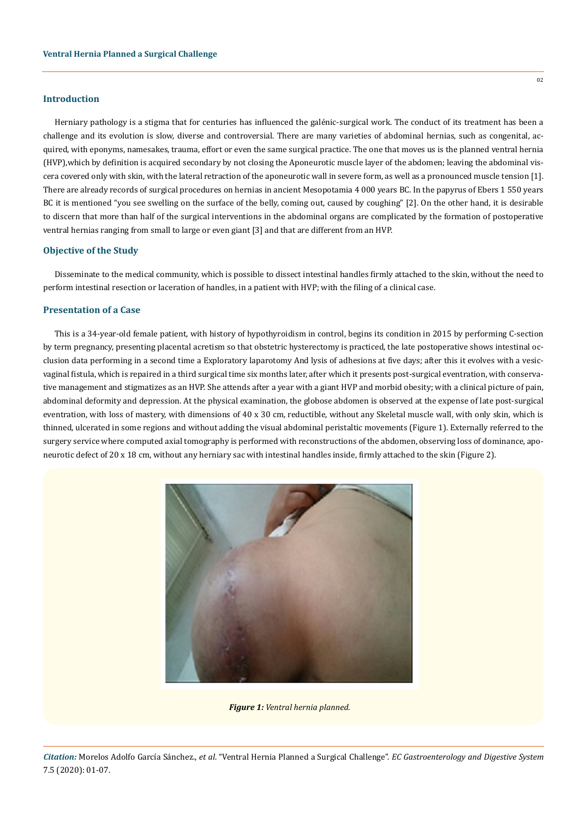#### **Introduction**

Herniary pathology is a stigma that for centuries has influenced the galénic-surgical work. The conduct of its treatment has been a challenge and its evolution is slow, diverse and controversial. There are many varieties of abdominal hernias, such as congenital, acquired, with eponyms, namesakes, trauma, effort or even the same surgical practice. The one that moves us is the planned ventral hernia (HVP),which by definition is acquired secondary by not closing the Aponeurotic muscle layer of the abdomen; leaving the abdominal viscera covered only with skin, with the lateral retraction of the aponeurotic wall in severe form, as well as a pronounced muscle tension [1]. There are already records of surgical procedures on hernias in ancient Mesopotamia 4 000 years BC. In the papyrus of Ebers 1 550 years BC it is mentioned "you see swelling on the surface of the belly, coming out, caused by coughing" [2]. On the other hand, it is desirable to discern that more than half of the surgical interventions in the abdominal organs are complicated by the formation of postoperative ventral hernias ranging from small to large or even giant [3] and that are different from an HVP.

### **Objective of the Study**

Disseminate to the medical community, which is possible to dissect intestinal handles firmly attached to the skin, without the need to perform intestinal resection or laceration of handles, in a patient with HVP; with the filing of a clinical case.

#### **Presentation of a Case**

This is a 34-year-old female patient, with history of hypothyroidism in control, begins its condition in 2015 by performing C-section by term pregnancy, presenting placental acretism so that obstetric hysterectomy is practiced, the late postoperative shows intestinal occlusion data performing in a second time a Exploratory laparotomy And lysis of adhesions at five days; after this it evolves with a vesicvaginal fistula, which is repaired in a third surgical time six months later, after which it presents post-surgical eventration, with conservative management and stigmatizes as an HVP. She attends after a year with a giant HVP and morbid obesity; with a clinical picture of pain, abdominal deformity and depression. At the physical examination, the globose abdomen is observed at the expense of late post-surgical eventration, with loss of mastery, with dimensions of 40 x 30 cm, reductible, without any Skeletal muscle wall, with only skin, which is thinned, ulcerated in some regions and without adding the visual abdominal peristaltic movements (Figure 1). Externally referred to the surgery service where computed axial tomography is performed with reconstructions of the abdomen, observing loss of dominance, aponeurotic defect of 20 x 18 cm, without any herniary sac with intestinal handles inside, firmly attached to the skin (Figure 2).



*Figure 1: Ventral hernia planned.*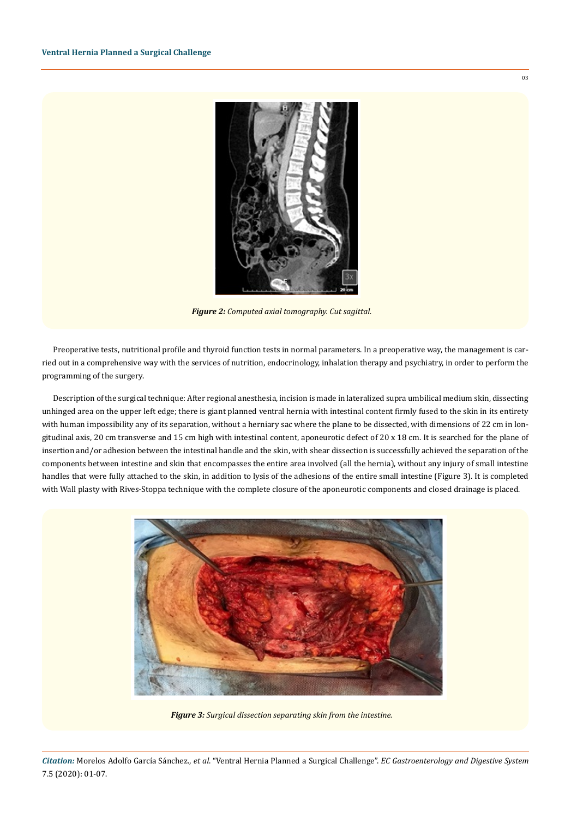

*Figure 2: Computed axial tomography. Cut sagittal.*

Preoperative tests, nutritional profile and thyroid function tests in normal parameters. In a preoperative way, the management is carried out in a comprehensive way with the services of nutrition, endocrinology, inhalation therapy and psychiatry, in order to perform the programming of the surgery.

Description of the surgical technique: After regional anesthesia, incision is made in lateralized supra umbilical medium skin, dissecting unhinged area on the upper left edge; there is giant planned ventral hernia with intestinal content firmly fused to the skin in its entirety with human impossibility any of its separation, without a herniary sac where the plane to be dissected, with dimensions of 22 cm in longitudinal axis, 20 cm transverse and 15 cm high with intestinal content, aponeurotic defect of 20 x 18 cm. It is searched for the plane of insertion and/or adhesion between the intestinal handle and the skin, with shear dissection is successfully achieved the separation of the components between intestine and skin that encompasses the entire area involved (all the hernia), without any injury of small intestine handles that were fully attached to the skin, in addition to lysis of the adhesions of the entire small intestine (Figure 3). It is completed with Wall plasty with Rives-Stoppa technique with the complete closure of the aponeurotic components and closed drainage is placed.



*Figure 3: Surgical dissection separating skin from the intestine.* 

*Citation:* Morelos Adolfo García Sánchez., *et al*. "Ventral Hernia Planned a Surgical Challenge". *EC Gastroenterology and Digestive System*  7.5 (2020): 01-07.

03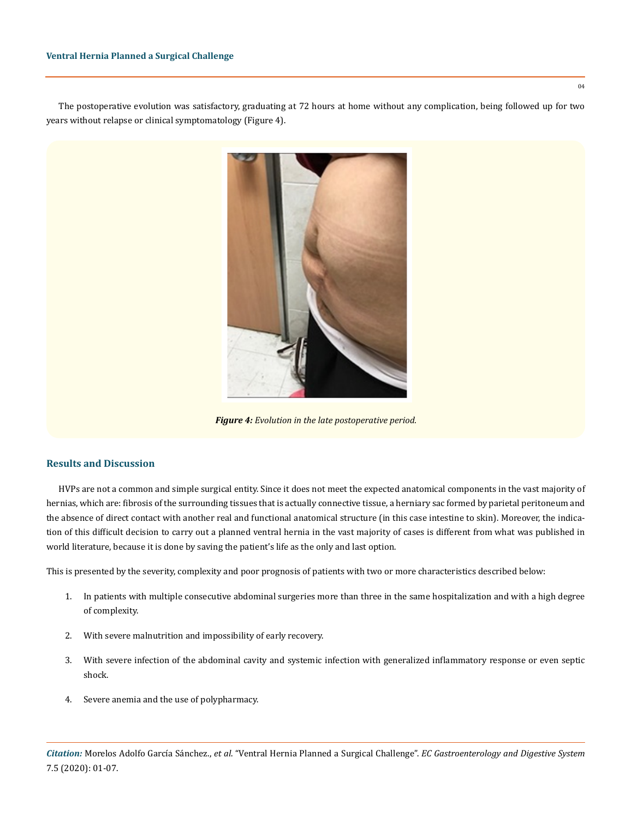The postoperative evolution was satisfactory, graduating at 72 hours at home without any complication, being followed up for two years without relapse or clinical symptomatology (Figure 4).



*Figure 4: Evolution in the late postoperative period.*

#### **Results and Discussion**

HVPs are not a common and simple surgical entity. Since it does not meet the expected anatomical components in the vast majority of hernias, which are: fibrosis of the surrounding tissues that is actually connective tissue, a herniary sac formed by parietal peritoneum and the absence of direct contact with another real and functional anatomical structure (in this case intestine to skin). Moreover, the indication of this difficult decision to carry out a planned ventral hernia in the vast majority of cases is different from what was published in world literature, because it is done by saving the patient's life as the only and last option.

This is presented by the severity, complexity and poor prognosis of patients with two or more characteristics described below:

- 1. In patients with multiple consecutive abdominal surgeries more than three in the same hospitalization and with a high degree of complexity.
- 2. With severe malnutrition and impossibility of early recovery.
- 3. With severe infection of the abdominal cavity and systemic infection with generalized inflammatory response or even septic shock.
- 4. Severe anemia and the use of polypharmacy.

 $04$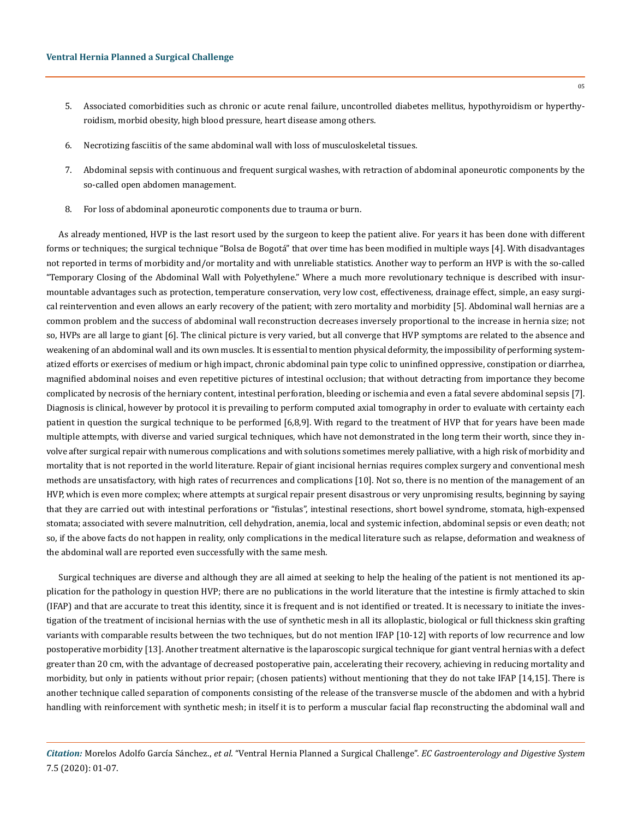- 5. Associated comorbidities such as chronic or acute renal failure, uncontrolled diabetes mellitus, hypothyroidism or hyperthyroidism, morbid obesity, high blood pressure, heart disease among others.
- 6. Necrotizing fasciitis of the same abdominal wall with loss of musculoskeletal tissues.
- 7. Abdominal sepsis with continuous and frequent surgical washes, with retraction of abdominal aponeurotic components by the so-called open abdomen management.
- 8. For loss of abdominal aponeurotic components due to trauma or burn.

As already mentioned, HVP is the last resort used by the surgeon to keep the patient alive. For years it has been done with different forms or techniques; the surgical technique "Bolsa de Bogotá" that over time has been modified in multiple ways [4]. With disadvantages not reported in terms of morbidity and/or mortality and with unreliable statistics. Another way to perform an HVP is with the so-called "Temporary Closing of the Abdominal Wall with Polyethylene." Where a much more revolutionary technique is described with insurmountable advantages such as protection, temperature conservation, very low cost, effectiveness, drainage effect, simple, an easy surgical reintervention and even allows an early recovery of the patient; with zero mortality and morbidity [5]. Abdominal wall hernias are a common problem and the success of abdominal wall reconstruction decreases inversely proportional to the increase in hernia size; not so, HVPs are all large to giant [6]. The clinical picture is very varied, but all converge that HVP symptoms are related to the absence and weakening of an abdominal wall and its own muscles. It is essential to mention physical deformity, the impossibility of performing systematized efforts or exercises of medium or high impact, chronic abdominal pain type colic to uninfined oppressive, constipation or diarrhea, magnified abdominal noises and even repetitive pictures of intestinal occlusion; that without detracting from importance they become complicated by necrosis of the herniary content, intestinal perforation, bleeding or ischemia and even a fatal severe abdominal sepsis [7]. Diagnosis is clinical, however by protocol it is prevailing to perform computed axial tomography in order to evaluate with certainty each patient in question the surgical technique to be performed [6,8,9]. With regard to the treatment of HVP that for years have been made multiple attempts, with diverse and varied surgical techniques, which have not demonstrated in the long term their worth, since they involve after surgical repair with numerous complications and with solutions sometimes merely palliative, with a high risk of morbidity and mortality that is not reported in the world literature. Repair of giant incisional hernias requires complex surgery and conventional mesh methods are unsatisfactory, with high rates of recurrences and complications [10]. Not so, there is no mention of the management of an HVP, which is even more complex; where attempts at surgical repair present disastrous or very unpromising results, beginning by saying that they are carried out with intestinal perforations or "fistulas", intestinal resections, short bowel syndrome, stomata, high-expensed stomata; associated with severe malnutrition, cell dehydration, anemia, local and systemic infection, abdominal sepsis or even death; not so, if the above facts do not happen in reality, only complications in the medical literature such as relapse, deformation and weakness of the abdominal wall are reported even successfully with the same mesh.

Surgical techniques are diverse and although they are all aimed at seeking to help the healing of the patient is not mentioned its application for the pathology in question HVP; there are no publications in the world literature that the intestine is firmly attached to skin (IFAP) and that are accurate to treat this identity, since it is frequent and is not identified or treated. It is necessary to initiate the investigation of the treatment of incisional hernias with the use of synthetic mesh in all its alloplastic, biological or full thickness skin grafting variants with comparable results between the two techniques, but do not mention IFAP [10-12] with reports of low recurrence and low postoperative morbidity [13]. Another treatment alternative is the laparoscopic surgical technique for giant ventral hernias with a defect greater than 20 cm, with the advantage of decreased postoperative pain, accelerating their recovery, achieving in reducing mortality and morbidity, but only in patients without prior repair; (chosen patients) without mentioning that they do not take IFAP [14,15]. There is another technique called separation of components consisting of the release of the transverse muscle of the abdomen and with a hybrid handling with reinforcement with synthetic mesh; in itself it is to perform a muscular facial flap reconstructing the abdominal wall and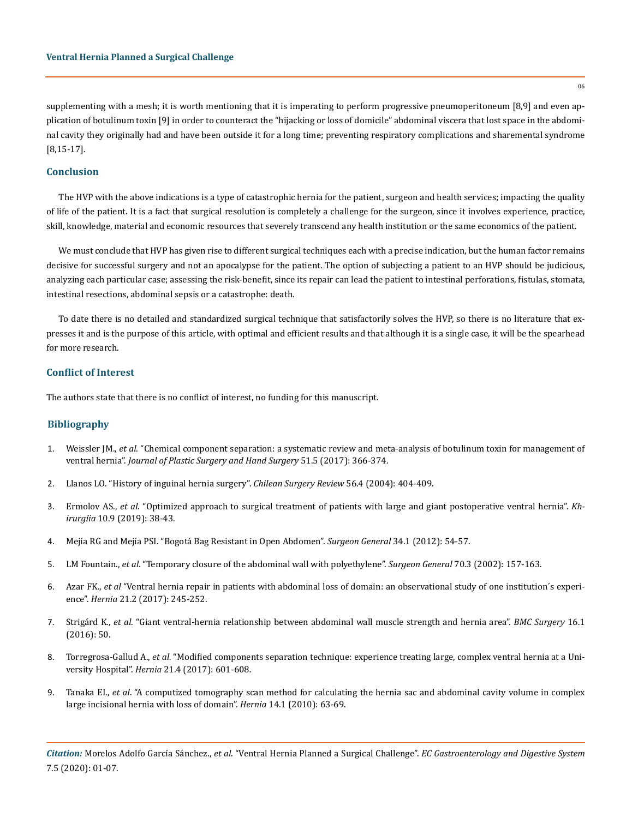supplementing with a mesh; it is worth mentioning that it is imperating to perform progressive pneumoperitoneum [8,9] and even application of botulinum toxin [9] in order to counteract the "hijacking or loss of domicile" abdominal viscera that lost space in the abdominal cavity they originally had and have been outside it for a long time; preventing respiratory complications and sharemental syndrome [8,15-17].

#### **Conclusion**

The HVP with the above indications is a type of catastrophic hernia for the patient, surgeon and health services; impacting the quality of life of the patient. It is a fact that surgical resolution is completely a challenge for the surgeon, since it involves experience, practice, skill, knowledge, material and economic resources that severely transcend any health institution or the same economics of the patient.

We must conclude that HVP has given rise to different surgical techniques each with a precise indication, but the human factor remains decisive for successful surgery and not an apocalypse for the patient. The option of subjecting a patient to an HVP should be judicious, analyzing each particular case; assessing the risk-benefit, since its repair can lead the patient to intestinal perforations, fistulas, stomata, intestinal resections, abdominal sepsis or a catastrophe: death.

To date there is no detailed and standardized surgical technique that satisfactorily solves the HVP, so there is no literature that expresses it and is the purpose of this article, with optimal and efficient results and that although it is a single case, it will be the spearhead for more research.

#### **Conflict of Interest**

The authors state that there is no conflict of interest, no funding for this manuscript.

#### **Bibliography**

- 1. Weissler JM., *et al*[. "Chemical component separation: a systematic review and meta-analysis of botulinum toxin for management of](https://www.ncbi.nlm.nih.gov/pubmed/28277071) ventral hernia". *[Journal of Plastic Surgery and Hand Surgery](https://www.ncbi.nlm.nih.gov/pubmed/28277071)* 51.5 (2017): 366-374.
- 2. Llanos LO. "History of inguinal hernia surgery". *Chilean Surgery Review* 56.4 (2004): 404-409.
- 3. Ermolov AS., *et al*[. "Optimized approach to surgical treatment of patients with large and giant postoperative ventral hernia".](https://www.ncbi.nlm.nih.gov/pubmed/31532165) *Khirurgíia* [10.9 \(2019\): 38-43.](https://www.ncbi.nlm.nih.gov/pubmed/31532165)
- 4. Mejía RG and Mejía PSI. "Bogotá Bag Resistant in Open Abdomen". *Surgeon General* 34.1 (2012): 54-57.
- 5. LM Fountain., *et al*. "Temporary closure of the abdominal wall with polyethylene". *Surgeon General* 70.3 (2002): 157-163.
- 6. Azar FK., *et al* ["Ventral hernia repair in patients with abdominal loss of domain: an observational study of one institution´s experi](https://www.ncbi.nlm.nih.gov/pubmed/28181089)ence". *Hernia* [21.2 \(2017\): 245-252.](https://www.ncbi.nlm.nih.gov/pubmed/28181089)
- 7. Strigárd K., *et al*[. "Giant ventral-hernia relationship between abdominal wall muscle strength and hernia area".](https://www.ncbi.nlm.nih.gov/pubmed/27484911) *BMC Surgery* 16.1 [\(2016\): 50.](https://www.ncbi.nlm.nih.gov/pubmed/27484911)
- 8. Torregrosa-Gallud A., *et al*[. "Modified components separation technique: experience treating large, complex ventral hernia at a Uni](https://www.ncbi.nlm.nih.gov/pubmed/28488072)versity Hospital". *Hernia* [21.4 \(2017\): 601-608.](https://www.ncbi.nlm.nih.gov/pubmed/28488072)
- 9. Tanaka EI., *et al*[. "A computized tomography scan method for calculating the hernia sac and abdominal cavity volume in complex](https://www.ncbi.nlm.nih.gov/pubmed/19756913) [large incisional hernia with loss of domain".](https://www.ncbi.nlm.nih.gov/pubmed/19756913) *Hernia* 14.1 (2010): 63-69.